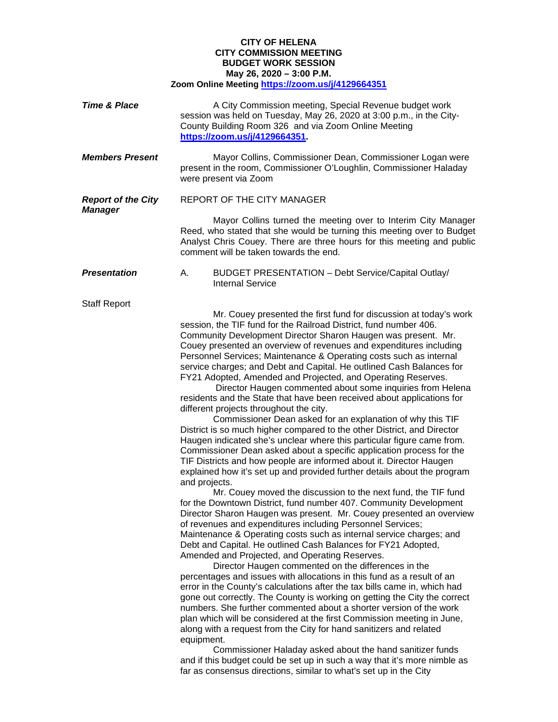## **CITY OF HELENA CITY COMMISSION MEETING BUDGET WORK SESSION May 26, 2020 – 3:00 P.M. Zoom Online Meeting<https://zoom.us/j/4129664351>**

| <b>Time &amp; Place</b>                     | A City Commission meeting, Special Revenue budget work<br>session was held on Tuesday, May 26, 2020 at 3:00 p.m., in the City-<br>County Building Room 326 and via Zoom Online Meeting<br>https://zoom.us/j/4129664351                                                                                                                                                                                                                                                                                                                                                                                                                                                                                                                                                                                                                                                                                                                                                                                                                                                                                                                                                                                         |
|---------------------------------------------|----------------------------------------------------------------------------------------------------------------------------------------------------------------------------------------------------------------------------------------------------------------------------------------------------------------------------------------------------------------------------------------------------------------------------------------------------------------------------------------------------------------------------------------------------------------------------------------------------------------------------------------------------------------------------------------------------------------------------------------------------------------------------------------------------------------------------------------------------------------------------------------------------------------------------------------------------------------------------------------------------------------------------------------------------------------------------------------------------------------------------------------------------------------------------------------------------------------|
| <b>Members Present</b>                      | Mayor Collins, Commissioner Dean, Commissioner Logan were<br>present in the room, Commissioner O'Loughlin, Commissioner Haladay<br>were present via Zoom                                                                                                                                                                                                                                                                                                                                                                                                                                                                                                                                                                                                                                                                                                                                                                                                                                                                                                                                                                                                                                                       |
| <b>Report of the City</b><br><b>Manager</b> | REPORT OF THE CITY MANAGER                                                                                                                                                                                                                                                                                                                                                                                                                                                                                                                                                                                                                                                                                                                                                                                                                                                                                                                                                                                                                                                                                                                                                                                     |
|                                             | Mayor Collins turned the meeting over to Interim City Manager<br>Reed, who stated that she would be turning this meeting over to Budget<br>Analyst Chris Couey. There are three hours for this meeting and public<br>comment will be taken towards the end.                                                                                                                                                                                                                                                                                                                                                                                                                                                                                                                                                                                                                                                                                                                                                                                                                                                                                                                                                    |
| <b>Presentation</b>                         | BUDGET PRESENTATION - Debt Service/Capital Outlay/<br>А.<br><b>Internal Service</b>                                                                                                                                                                                                                                                                                                                                                                                                                                                                                                                                                                                                                                                                                                                                                                                                                                                                                                                                                                                                                                                                                                                            |
| <b>Staff Report</b>                         |                                                                                                                                                                                                                                                                                                                                                                                                                                                                                                                                                                                                                                                                                                                                                                                                                                                                                                                                                                                                                                                                                                                                                                                                                |
|                                             | Mr. Couey presented the first fund for discussion at today's work<br>session, the TIF fund for the Railroad District, fund number 406.<br>Community Development Director Sharon Haugen was present. Mr.<br>Couey presented an overview of revenues and expenditures including<br>Personnel Services; Maintenance & Operating costs such as internal<br>service charges; and Debt and Capital. He outlined Cash Balances for<br>FY21 Adopted, Amended and Projected, and Operating Reserves.<br>Director Haugen commented about some inquiries from Helena<br>residents and the State that have been received about applications for<br>different projects throughout the city.<br>Commissioner Dean asked for an explanation of why this TIF<br>District is so much higher compared to the other District, and Director<br>Haugen indicated she's unclear where this particular figure came from.<br>Commissioner Dean asked about a specific application process for the<br>TIF Districts and how people are informed about it. Director Haugen<br>explained how it's set up and provided further details about the program<br>and projects.<br>Mr. Couey moved the discussion to the next fund, the TIF fund |
|                                             | for the Downtown District, fund number 407. Community Development<br>Director Sharon Haugen was present. Mr. Couey presented an overview<br>of revenues and expenditures including Personnel Services;<br>Maintenance & Operating costs such as internal service charges; and<br>Debt and Capital. He outlined Cash Balances for FY21 Adopted,<br>Amended and Projected, and Operating Reserves.<br>Director Haugen commented on the differences in the<br>percentages and issues with allocations in this fund as a result of an<br>error in the County's calculations after the tax bills came in, which had<br>gone out correctly. The County is working on getting the City the correct<br>numbers. She further commented about a shorter version of the work<br>plan which will be considered at the first Commission meeting in June,<br>along with a request from the City for hand sanitizers and related<br>equipment.<br>Commissioner Haladay asked about the hand sanitizer funds<br>and if this budget could be set up in such a way that it's more nimble as<br>far as consensus directions, similar to what's set up in the City                                                                 |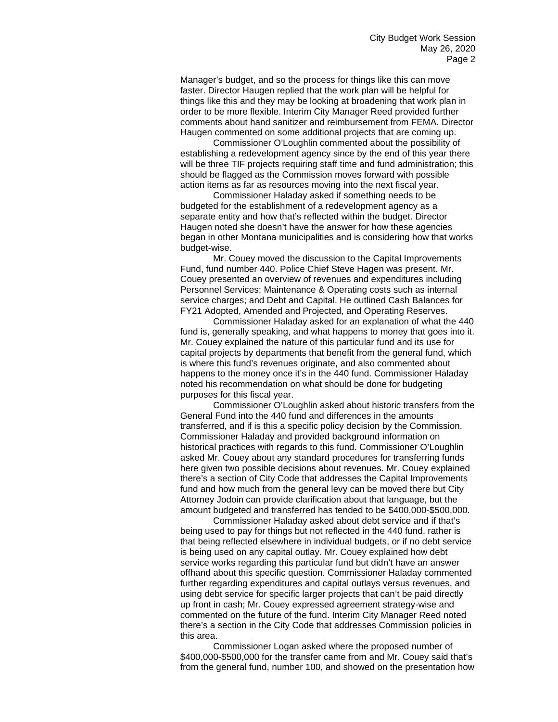Manager's budget, and so the process for things like this can move faster. Director Haugen replied that the work plan will be helpful for things like this and they may be looking at broadening that work plan in order to be more flexible. Interim City Manager Reed provided further comments about hand sanitizer and reimbursement from FEMA. Director Haugen commented on some additional projects that are coming up.

Commissioner O'Loughlin commented about the possibility of establishing a redevelopment agency since by the end of this year there will be three TIF projects requiring staff time and fund administration; this should be flagged as the Commission moves forward with possible action items as far as resources moving into the next fiscal year.

Commissioner Haladay asked if something needs to be budgeted for the establishment of a redevelopment agency as a separate entity and how that's reflected within the budget. Director Haugen noted she doesn't have the answer for how these agencies began in other Montana municipalities and is considering how that works budget-wise.

Mr. Couey moved the discussion to the Capital Improvements Fund, fund number 440. Police Chief Steve Hagen was present. Mr. Couey presented an overview of revenues and expenditures including Personnel Services; Maintenance & Operating costs such as internal service charges; and Debt and Capital. He outlined Cash Balances for FY21 Adopted, Amended and Projected, and Operating Reserves.

Commissioner Haladay asked for an explanation of what the 440 fund is, generally speaking, and what happens to money that goes into it. Mr. Couey explained the nature of this particular fund and its use for capital projects by departments that benefit from the general fund, which is where this fund's revenues originate, and also commented about happens to the money once it's in the 440 fund. Commissioner Haladay noted his recommendation on what should be done for budgeting purposes for this fiscal year.

Commissioner O'Loughlin asked about historic transfers from the General Fund into the 440 fund and differences in the amounts transferred, and if is this a specific policy decision by the Commission. Commissioner Haladay and provided background information on historical practices with regards to this fund. Commissioner O'Loughlin asked Mr. Couey about any standard procedures for transferring funds here given two possible decisions about revenues. Mr. Couey explained there's a section of City Code that addresses the Capital Improvements fund and how much from the general levy can be moved there but City Attorney Jodoin can provide clarification about that language, but the amount budgeted and transferred has tended to be \$400,000-\$500,000.

Commissioner Haladay asked about debt service and if that's being used to pay for things but not reflected in the 440 fund, rather is that being reflected elsewhere in individual budgets, or if no debt service is being used on any capital outlay. Mr. Couey explained how debt service works regarding this particular fund but didn't have an answer offhand about this specific question. Commissioner Haladay commented further regarding expenditures and capital outlays versus revenues, and using debt service for specific larger projects that can't be paid directly up front in cash; Mr. Couey expressed agreement strategy-wise and commented on the future of the fund. Interim City Manager Reed noted there's a section in the City Code that addresses Commission policies in this area.

Commissioner Logan asked where the proposed number of \$400,000-\$500,000 for the transfer came from and Mr. Couey said that's from the general fund, number 100, and showed on the presentation how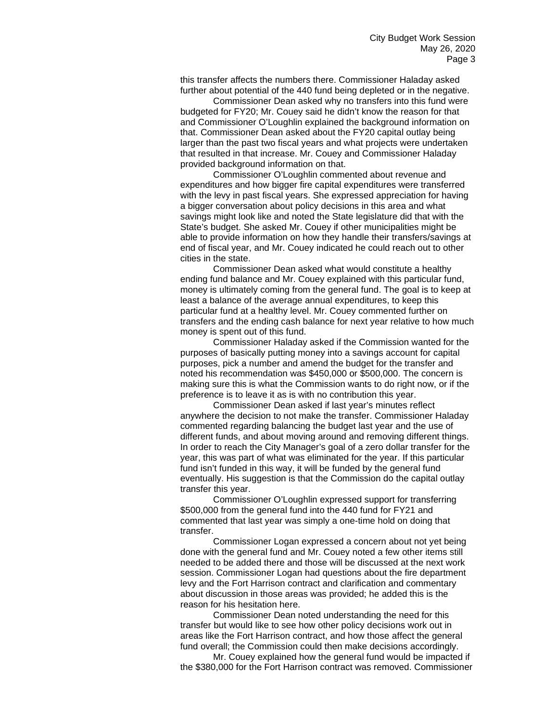this transfer affects the numbers there. Commissioner Haladay asked further about potential of the 440 fund being depleted or in the negative.

Commissioner Dean asked why no transfers into this fund were budgeted for FY20; Mr. Couey said he didn't know the reason for that and Commissioner O'Loughlin explained the background information on that. Commissioner Dean asked about the FY20 capital outlay being larger than the past two fiscal years and what projects were undertaken that resulted in that increase. Mr. Couey and Commissioner Haladay provided background information on that.

Commissioner O'Loughlin commented about revenue and expenditures and how bigger fire capital expenditures were transferred with the levy in past fiscal years. She expressed appreciation for having a bigger conversation about policy decisions in this area and what savings might look like and noted the State legislature did that with the State's budget. She asked Mr. Couey if other municipalities might be able to provide information on how they handle their transfers/savings at end of fiscal year, and Mr. Couey indicated he could reach out to other cities in the state.

Commissioner Dean asked what would constitute a healthy ending fund balance and Mr. Couey explained with this particular fund, money is ultimately coming from the general fund. The goal is to keep at least a balance of the average annual expenditures, to keep this particular fund at a healthy level. Mr. Couey commented further on transfers and the ending cash balance for next year relative to how much money is spent out of this fund.

Commissioner Haladay asked if the Commission wanted for the purposes of basically putting money into a savings account for capital purposes, pick a number and amend the budget for the transfer and noted his recommendation was \$450,000 or \$500,000. The concern is making sure this is what the Commission wants to do right now, or if the preference is to leave it as is with no contribution this year.

Commissioner Dean asked if last year's minutes reflect anywhere the decision to not make the transfer. Commissioner Haladay commented regarding balancing the budget last year and the use of different funds, and about moving around and removing different things. In order to reach the City Manager's goal of a zero dollar transfer for the year, this was part of what was eliminated for the year. If this particular fund isn't funded in this way, it will be funded by the general fund eventually. His suggestion is that the Commission do the capital outlay transfer this year.

Commissioner O'Loughlin expressed support for transferring \$500,000 from the general fund into the 440 fund for FY21 and commented that last year was simply a one-time hold on doing that transfer.

Commissioner Logan expressed a concern about not yet being done with the general fund and Mr. Couey noted a few other items still needed to be added there and those will be discussed at the next work session. Commissioner Logan had questions about the fire department levy and the Fort Harrison contract and clarification and commentary about discussion in those areas was provided; he added this is the reason for his hesitation here.

Commissioner Dean noted understanding the need for this transfer but would like to see how other policy decisions work out in areas like the Fort Harrison contract, and how those affect the general fund overall; the Commission could then make decisions accordingly.

Mr. Couey explained how the general fund would be impacted if the \$380,000 for the Fort Harrison contract was removed. Commissioner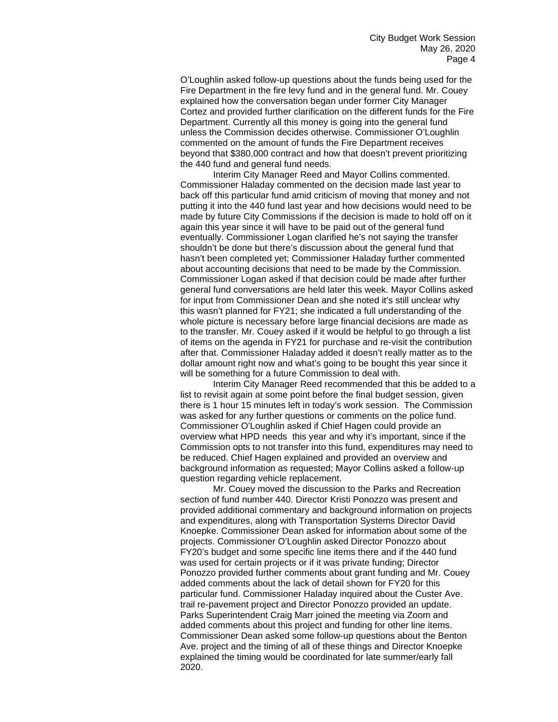O'Loughlin asked follow-up questions about the funds being used for the Fire Department in the fire levy fund and in the general fund. Mr. Couey explained how the conversation began under former City Manager Cortez and provided further clarification on the different funds for the Fire Department. Currently all this money is going into the general fund unless the Commission decides otherwise. Commissioner O'Loughlin commented on the amount of funds the Fire Department receives beyond that \$380,000 contract and how that doesn't prevent prioritizing the 440 fund and general fund needs.

Interim City Manager Reed and Mayor Collins commented. Commissioner Haladay commented on the decision made last year to back off this particular fund amid criticism of moving that money and not putting it into the 440 fund last year and how decisions would need to be made by future City Commissions if the decision is made to hold off on it again this year since it will have to be paid out of the general fund eventually. Commissioner Logan clarified he's not saying the transfer shouldn't be done but there's discussion about the general fund that hasn't been completed yet; Commissioner Haladay further commented about accounting decisions that need to be made by the Commission. Commissioner Logan asked if that decision could be made after further general fund conversations are held later this week. Mayor Collins asked for input from Commissioner Dean and she noted it's still unclear why this wasn't planned for FY21; she indicated a full understanding of the whole picture is necessary before large financial decisions are made as to the transfer. Mr. Couey asked if it would be helpful to go through a list of items on the agenda in FY21 for purchase and re-visit the contribution after that. Commissioner Haladay added it doesn't really matter as to the dollar amount right now and what's going to be bought this year since it will be something for a future Commission to deal with.

Interim City Manager Reed recommended that this be added to a list to revisit again at some point before the final budget session, given there is 1 hour 15 minutes left in today's work session. The Commission was asked for any further questions or comments on the police fund. Commissioner O'Loughlin asked if Chief Hagen could provide an overview what HPD needs this year and why it's important, since if the Commission opts to not transfer into this fund, expenditures may need to be reduced. Chief Hagen explained and provided an overview and background information as requested; Mayor Collins asked a follow-up question regarding vehicle replacement.

Mr. Couey moved the discussion to the Parks and Recreation section of fund number 440. Director Kristi Ponozzo was present and provided additional commentary and background information on projects and expenditures, along with Transportation Systems Director David Knoepke. Commissioner Dean asked for information about some of the projects. Commissioner O'Loughlin asked Director Ponozzo about FY20's budget and some specific line items there and if the 440 fund was used for certain projects or if it was private funding; Director Ponozzo provided further comments about grant funding and Mr. Couey added comments about the lack of detail shown for FY20 for this particular fund. Commissioner Haladay inquired about the Custer Ave. trail re-pavement project and Director Ponozzo provided an update. Parks Superintendent Craig Marr joined the meeting via Zoom and added comments about this project and funding for other line items. Commissioner Dean asked some follow-up questions about the Benton Ave. project and the timing of all of these things and Director Knoepke explained the timing would be coordinated for late summer/early fall 2020.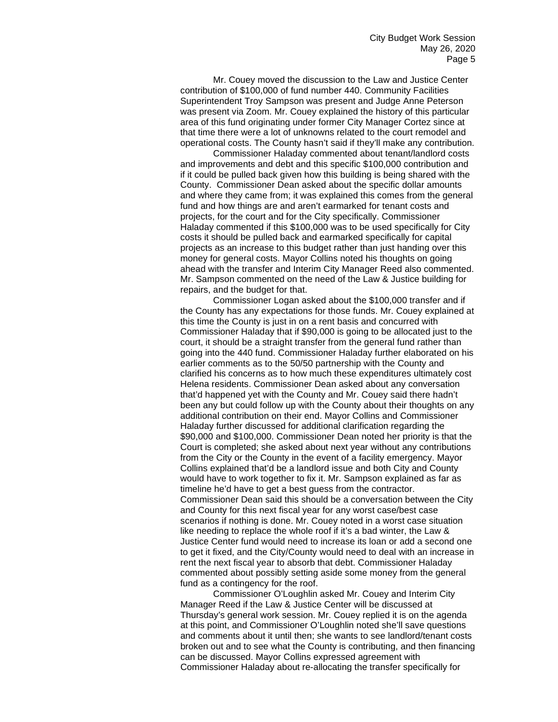Mr. Couey moved the discussion to the Law and Justice Center contribution of \$100,000 of fund number 440. Community Facilities Superintendent Troy Sampson was present and Judge Anne Peterson was present via Zoom. Mr. Couey explained the history of this particular area of this fund originating under former City Manager Cortez since at that time there were a lot of unknowns related to the court remodel and operational costs. The County hasn't said if they'll make any contribution.

Commissioner Haladay commented about tenant/landlord costs and improvements and debt and this specific \$100,000 contribution and if it could be pulled back given how this building is being shared with the County. Commissioner Dean asked about the specific dollar amounts and where they came from; it was explained this comes from the general fund and how things are and aren't earmarked for tenant costs and projects, for the court and for the City specifically. Commissioner Haladay commented if this \$100,000 was to be used specifically for City costs it should be pulled back and earmarked specifically for capital projects as an increase to this budget rather than just handing over this money for general costs. Mayor Collins noted his thoughts on going ahead with the transfer and Interim City Manager Reed also commented. Mr. Sampson commented on the need of the Law & Justice building for repairs, and the budget for that.

Commissioner Logan asked about the \$100,000 transfer and if the County has any expectations for those funds. Mr. Couey explained at this time the County is just in on a rent basis and concurred with Commissioner Haladay that if \$90,000 is going to be allocated just to the court, it should be a straight transfer from the general fund rather than going into the 440 fund. Commissioner Haladay further elaborated on his earlier comments as to the 50/50 partnership with the County and clarified his concerns as to how much these expenditures ultimately cost Helena residents. Commissioner Dean asked about any conversation that'd happened yet with the County and Mr. Couey said there hadn't been any but could follow up with the County about their thoughts on any additional contribution on their end. Mayor Collins and Commissioner Haladay further discussed for additional clarification regarding the \$90,000 and \$100,000. Commissioner Dean noted her priority is that the Court is completed; she asked about next year without any contributions from the City or the County in the event of a facility emergency. Mayor Collins explained that'd be a landlord issue and both City and County would have to work together to fix it. Mr. Sampson explained as far as timeline he'd have to get a best guess from the contractor. Commissioner Dean said this should be a conversation between the City and County for this next fiscal year for any worst case/best case scenarios if nothing is done. Mr. Couey noted in a worst case situation like needing to replace the whole roof if it's a bad winter, the Law & Justice Center fund would need to increase its loan or add a second one to get it fixed, and the City/County would need to deal with an increase in rent the next fiscal year to absorb that debt. Commissioner Haladay commented about possibly setting aside some money from the general fund as a contingency for the roof.

Commissioner O'Loughlin asked Mr. Couey and Interim City Manager Reed if the Law & Justice Center will be discussed at Thursday's general work session. Mr. Couey replied it is on the agenda at this point, and Commissioner O'Loughlin noted she'll save questions and comments about it until then; she wants to see landlord/tenant costs broken out and to see what the County is contributing, and then financing can be discussed. Mayor Collins expressed agreement with Commissioner Haladay about re-allocating the transfer specifically for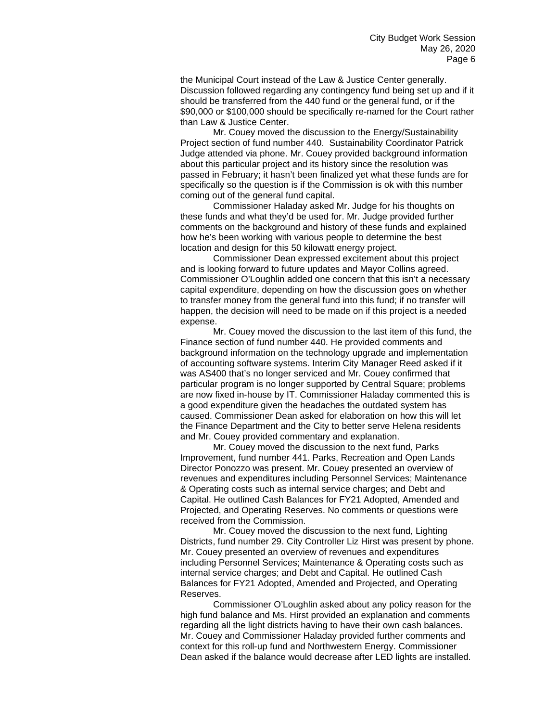the Municipal Court instead of the Law & Justice Center generally. Discussion followed regarding any contingency fund being set up and if it should be transferred from the 440 fund or the general fund, or if the \$90,000 or \$100,000 should be specifically re-named for the Court rather than Law & Justice Center.

Mr. Couey moved the discussion to the Energy/Sustainability Project section of fund number 440. Sustainability Coordinator Patrick Judge attended via phone. Mr. Couey provided background information about this particular project and its history since the resolution was passed in February; it hasn't been finalized yet what these funds are for specifically so the question is if the Commission is ok with this number coming out of the general fund capital.

Commissioner Haladay asked Mr. Judge for his thoughts on these funds and what they'd be used for. Mr. Judge provided further comments on the background and history of these funds and explained how he's been working with various people to determine the best location and design for this 50 kilowatt energy project.

Commissioner Dean expressed excitement about this project and is looking forward to future updates and Mayor Collins agreed. Commissioner O'Loughlin added one concern that this isn't a necessary capital expenditure, depending on how the discussion goes on whether to transfer money from the general fund into this fund; if no transfer will happen, the decision will need to be made on if this project is a needed expense.

Mr. Couey moved the discussion to the last item of this fund, the Finance section of fund number 440. He provided comments and background information on the technology upgrade and implementation of accounting software systems. Interim City Manager Reed asked if it was AS400 that's no longer serviced and Mr. Couey confirmed that particular program is no longer supported by Central Square; problems are now fixed in-house by IT. Commissioner Haladay commented this is a good expenditure given the headaches the outdated system has caused. Commissioner Dean asked for elaboration on how this will let the Finance Department and the City to better serve Helena residents and Mr. Couey provided commentary and explanation.

Mr. Couey moved the discussion to the next fund, Parks Improvement, fund number 441. Parks, Recreation and Open Lands Director Ponozzo was present. Mr. Couey presented an overview of revenues and expenditures including Personnel Services; Maintenance & Operating costs such as internal service charges; and Debt and Capital. He outlined Cash Balances for FY21 Adopted, Amended and Projected, and Operating Reserves. No comments or questions were received from the Commission.

Mr. Couey moved the discussion to the next fund, Lighting Districts, fund number 29. City Controller Liz Hirst was present by phone. Mr. Couey presented an overview of revenues and expenditures including Personnel Services; Maintenance & Operating costs such as internal service charges; and Debt and Capital. He outlined Cash Balances for FY21 Adopted, Amended and Projected, and Operating Reserves.

Commissioner O'Loughlin asked about any policy reason for the high fund balance and Ms. Hirst provided an explanation and comments regarding all the light districts having to have their own cash balances. Mr. Couey and Commissioner Haladay provided further comments and context for this roll-up fund and Northwestern Energy. Commissioner Dean asked if the balance would decrease after LED lights are installed.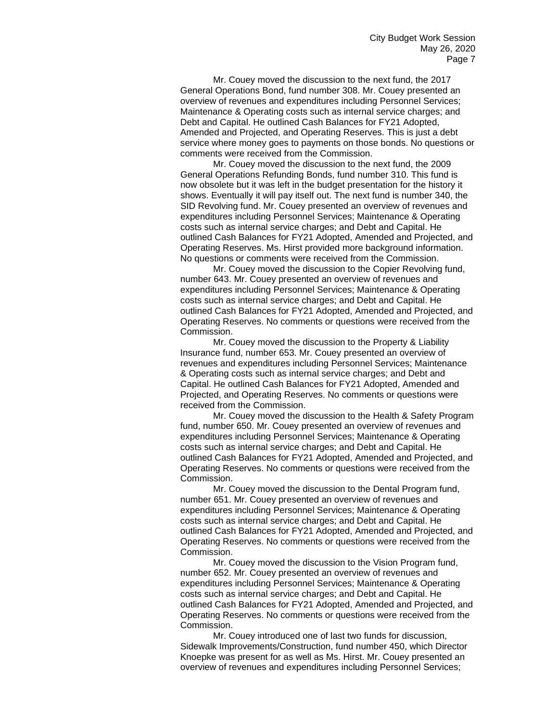Mr. Couey moved the discussion to the next fund, the 2017 General Operations Bond, fund number 308. Mr. Couey presented an overview of revenues and expenditures including Personnel Services; Maintenance & Operating costs such as internal service charges; and Debt and Capital. He outlined Cash Balances for FY21 Adopted, Amended and Projected, and Operating Reserves. This is just a debt service where money goes to payments on those bonds. No questions or comments were received from the Commission.

Mr. Couey moved the discussion to the next fund, the 2009 General Operations Refunding Bonds, fund number 310. This fund is now obsolete but it was left in the budget presentation for the history it shows. Eventually it will pay itself out. The next fund is number 340, the SID Revolving fund. Mr. Couey presented an overview of revenues and expenditures including Personnel Services; Maintenance & Operating costs such as internal service charges; and Debt and Capital. He outlined Cash Balances for FY21 Adopted, Amended and Projected, and Operating Reserves. Ms. Hirst provided more background information. No questions or comments were received from the Commission.

Mr. Couey moved the discussion to the Copier Revolving fund, number 643. Mr. Couey presented an overview of revenues and expenditures including Personnel Services; Maintenance & Operating costs such as internal service charges; and Debt and Capital. He outlined Cash Balances for FY21 Adopted, Amended and Projected, and Operating Reserves. No comments or questions were received from the Commission.

Mr. Couey moved the discussion to the Property & Liability Insurance fund, number 653. Mr. Couey presented an overview of revenues and expenditures including Personnel Services; Maintenance & Operating costs such as internal service charges; and Debt and Capital. He outlined Cash Balances for FY21 Adopted, Amended and Projected, and Operating Reserves. No comments or questions were received from the Commission.

Mr. Couey moved the discussion to the Health & Safety Program fund, number 650. Mr. Couey presented an overview of revenues and expenditures including Personnel Services; Maintenance & Operating costs such as internal service charges; and Debt and Capital. He outlined Cash Balances for FY21 Adopted, Amended and Projected, and Operating Reserves. No comments or questions were received from the Commission.

Mr. Couey moved the discussion to the Dental Program fund, number 651. Mr. Couey presented an overview of revenues and expenditures including Personnel Services; Maintenance & Operating costs such as internal service charges; and Debt and Capital. He outlined Cash Balances for FY21 Adopted, Amended and Projected, and Operating Reserves. No comments or questions were received from the Commission.

Mr. Couey moved the discussion to the Vision Program fund, number 652. Mr. Couey presented an overview of revenues and expenditures including Personnel Services; Maintenance & Operating costs such as internal service charges; and Debt and Capital. He outlined Cash Balances for FY21 Adopted, Amended and Projected, and Operating Reserves. No comments or questions were received from the Commission.

Mr. Couey introduced one of last two funds for discussion, Sidewalk Improvements/Construction, fund number 450, which Director Knoepke was present for as well as Ms. Hirst. Mr. Couey presented an overview of revenues and expenditures including Personnel Services;